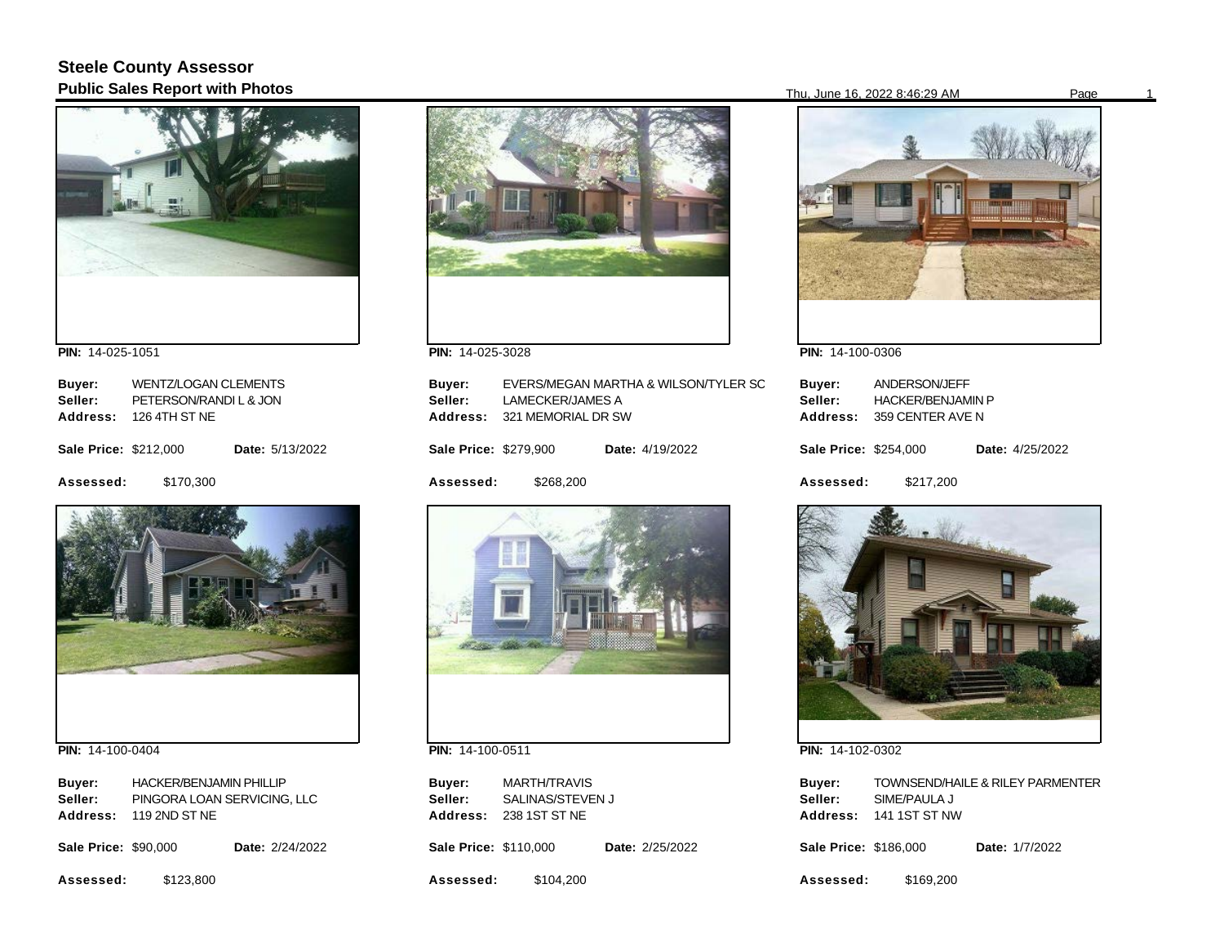## **Steele County Assessor Public Sales Report with Photos** Page 16, 2022 8:46:29 AM Page 16, 2022 8:46:29 AM Page



**PIN:**  14-025-1051

| Buyer:                       | <b>WENTZ/LOGAN CLEMENTS</b> |                 |  |
|------------------------------|-----------------------------|-----------------|--|
| Seller:                      | PETERSON/RANDIL & JON       |                 |  |
| Address:                     | 126 4TH ST NE               |                 |  |
| <b>Sale Price: \$212,000</b> |                             | Date: 5/13/2022 |  |
| Assessed:                    | \$170,300                   |                 |  |



**PIN:**  14-100-0404

| Buver:          | <b>HACKER/BENJAMIN PHILLIP</b> |
|-----------------|--------------------------------|
| Seller:         | PINGORA LOAN SERVICING. LLC    |
| <b>Address:</b> | 119 2ND ST NE                  |

| <b>Sale Price: \$90,000</b> |  | <b>Date: 2/24/2022</b> |
|-----------------------------|--|------------------------|
|                             |  |                        |

**Assessed:**  \$123,800



**PIN:**  14-025-3028

| Buyer:<br>Seller:<br>Address: | LAMECKER/JAMES A<br>321 MEMORIAL DR SW | EVERS/MEGAN MARTHA & WILSON/TYLER SC |
|-------------------------------|----------------------------------------|--------------------------------------|
| <b>Sale Price: \$279,900</b>  |                                        | Date: 4/19/2022                      |
| Assessed:                     | \$268.200                              |                                      |
|                               |                                        |                                      |

**PIN:**  14-100-0511

**Buyer: Address:**  238 1ST ST NE MARTH/TRAVIS **Seller:** SALINAS/STEVEN J

**Sale Price: \$110,000** Date: 2/25/2022

**Assessed:**  \$104,200



**PIN:**  14-100-0306

| Buver:<br>Seller:<br>Address: | ANDERSON/JEFF<br><b>HACKER/BENJAMIN P</b><br>359 CENTER AVE N |  |                 |
|-------------------------------|---------------------------------------------------------------|--|-----------------|
| <b>Sale Price: \$254,000</b>  |                                                               |  | Date: 4/25/2022 |
| <b>Assessed:</b>              | \$217,200                                                     |  |                 |



**PIN:**  14-102-0302

| Buyer:          | <b>TOWNSEND/HAILE &amp; RILEY PARMENTER</b> |
|-----------------|---------------------------------------------|
| Seller:         | SIME/PAULA J                                |
| <b>Address:</b> | 141 1ST ST NW                               |

**Sale Price: \$186,000** Date: 1/7/2022

**Assessed:**  \$169,200